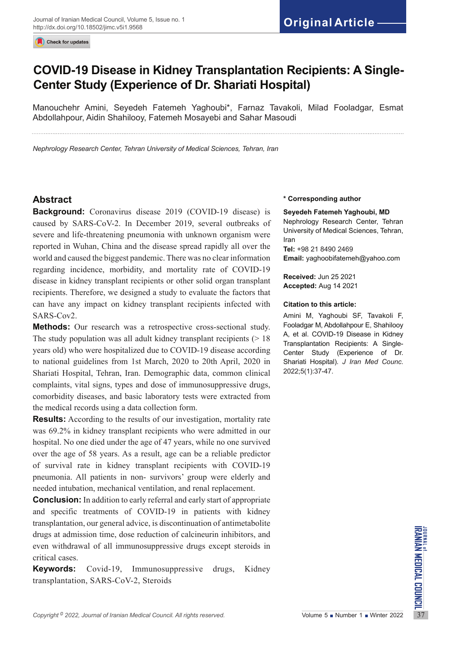Check for updates

# **COVID-19 Disease in Kidney Transplantation Recipients: A Single-Center Study (Experience of Dr. Shariati Hospital)**

Manouchehr Amini, Seyedeh Fatemeh Yaghoubi\*, Farnaz Tavakoli, Milad Fooladgar, Esmat Abdollahpour, Aidin Shahilooy, Fatemeh Mosayebi and Sahar Masoudi

*Nephrology Research Center, Tehran University of Medical Sciences, Tehran, Iran*

# **Abstract**

**Background:** Coronavirus disease 2019 (COVID-19 disease) is caused by SARS-CoV-2. In December 2019, several outbreaks of severe and life-threatening pneumonia with unknown organism were reported in Wuhan, China and the disease spread rapidly all over the world and caused the biggest pandemic. There was no clear information regarding incidence, morbidity, and mortality rate of COVID-19 disease in kidney transplant recipients or other solid organ transplant recipients. Therefore, we designed a study to evaluate the factors that can have any impact on kidney transplant recipients infected with SARS-Cov2.

**Methods:** Our research was a retrospective cross-sectional study. The study population was all adult kidney transplant recipients  $($  > 18 years old) who were hospitalized due to COVID-19 disease according to national guidelines from 1st March, 2020 to 20th April, 2020 in Shariati Hospital, Tehran, Iran. Demographic data, common clinical complaints, vital signs, types and dose of immunosuppressive drugs, comorbidity diseases, and basic laboratory tests were extracted from the medical records using a data collection form.

**Results:** According to the results of our investigation, mortality rate was 69.2% in kidney transplant recipients who were admitted in our hospital. No one died under the age of 47 years, while no one survived over the age of 58 years. As a result, age can be a reliable predictor of survival rate in kidney transplant recipients with COVID-19 pneumonia. All patients in non- survivors' group were elderly and needed intubation, mechanical ventilation, and renal replacement.

*Copyright* <sup>©</sup> 2022, *Journal of Iranian Medical Council. All rights reserved.<br>
Copyright<sup>©</sup> 2022, <i>Journal of Iranian Medical Council. All rights reserved.* Volume 5 Number 1 Number 2022<br>
Volume 5 Number 1 Number 2022<br>
C **Conclusion:** In addition to early referral and early start of appropriate and specific treatments of COVID-19 in patients with kidney transplantation, our general advice, is discontinuation of antimetabolite drugs at admission time, dose reduction of calcineurin inhibitors, and even withdrawal of all immunosuppressive drugs except steroids in critical cases.

**Keywords:** Covid-19, Immunosuppressive drugs, Kidney transplantation, SARS-CoV-2, Steroids

#### **\* Corresponding author**

#### **Seyedeh Fatemeh Yaghoubi, MD**

Nephrology Research Center, Tehran University of Medical Sciences, Tehran, Iran

**Tel:** +98 21 8490 2469 **Email:** yaghoobifatemeh@yahoo.com

**Received:** Jun 25 2021 **Accepted:** Aug 14 2021

#### **Citation to this article:**

Amini M, Yaghoubi SF, Tavakoli F, Fooladgar M, Abdollahpour E, Shahilooy A, et al. COVID-19 Disease in Kidney Transplantation Recipients: A Single-Center Study (Experience of Dr. Shariati Hospital). *J Iran Med Counc*. 2022;5(1):37-47.

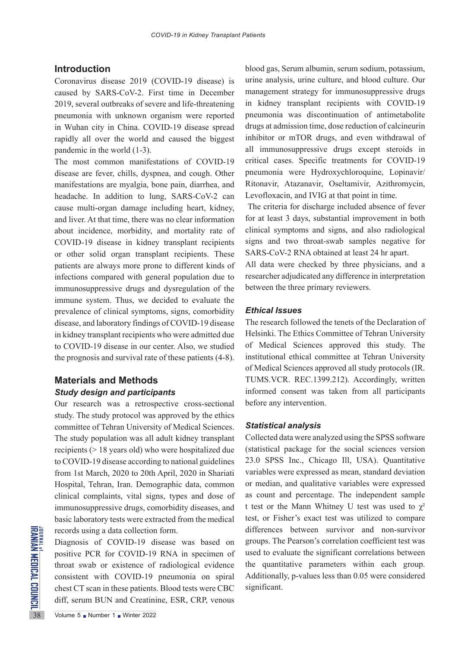## **Introduction**

Coronavirus disease 2019 (COVID-19 disease) is caused by SARS-CoV-2. First time in December 2019, several outbreaks of severe and life-threatening pneumonia with unknown organism were reported in Wuhan city in China. COVID-19 disease spread rapidly all over the world and caused the biggest pandemic in the world (1-3).

The most common manifestations of COVID-19 disease are fever, chills, dyspnea, and cough. Other manifestations are myalgia, bone pain, diarrhea, and headache. In addition to lung, SARS-CoV-2 can cause multi-organ damage including heart, kidney, and liver. At that time, there was no clear information about incidence, morbidity, and mortality rate of COVID-19 disease in kidney transplant recipients or other solid organ transplant recipients. These patients are always more prone to different kinds of infections compared with general population due to immunosuppressive drugs and dysregulation of the immune system. Thus, we decided to evaluate the prevalence of clinical symptoms, signs, comorbidity disease, and laboratory findings of COVID-19 disease in kidney transplant recipients who were admitted due to COVID-19 disease in our center. Also, we studied the prognosis and survival rate of these patients (4-8).

# **Materials and Methods** *Study design and participants*

Our research was a retrospective cross-sectional study. The study protocol was approved by the ethics committee of Tehran University of Medical Sciences. The study population was all adult kidney transplant recipients (> 18 years old) who were hospitalized due to COVID-19 disease according to national guidelines from 1st March, 2020 to 20th April, 2020 in Shariati Hospital, Tehran, Iran. Demographic data, common clinical complaints, vital signs, types and dose of immunosuppressive drugs, comorbidity diseases, and basic laboratory tests were extracted from the medical records using a data collection form.

FORE THE TRIMBER THE TRIMBER THE TRIMBER THE TRIMBER THAN THE TRIMBER THAN THE TRIMBER THAN THE COVID-19<br>
SAMPLE TRIMBER THE TRIMBER THAN THE COVID-19<br>
COVID-19<br>
COVID-19<br>
COVID-19<br>
COVID-19<br>
COVID-19<br>
COVID-19<br>
COVID-19<br> Diagnosis of COVID-19 disease was based on positive PCR for COVID-19 RNA in specimen of throat swab or existence of radiological evidence consistent with COVID-19 pneumonia on spiral chest CT scan in these patients. Blood tests were CBC diff, serum BUN and Creatinine, ESR, CRP, venous

blood gas, Serum albumin, serum sodium, potassium, urine analysis, urine culture, and blood culture. Our management strategy for immunosuppressive drugs in kidney transplant recipients with COVID-19 pneumonia was discontinuation of antimetabolite drugs at admission time, dose reduction of calcineurin inhibitor or mTOR drugs, and even withdrawal of all immunosuppressive drugs except steroids in critical cases. Specific treatments for COVID-19 pneumonia were Hydroxychloroquine, Lopinavir/ Ritonavir, Atazanavir, Oseltamivir, Azithromycin, Levofloxacin, and IVIG at that point in time.

 The criteria for discharge included absence of fever for at least 3 days, substantial improvement in both clinical symptoms and signs, and also radiological signs and two throat-swab samples negative for SARS-CoV-2 RNA obtained at least 24 hr apart.

All data were checked by three physicians, and a researcher adjudicated any difference in interpretation between the three primary reviewers.

### *Ethical Issues*

The research followed the tenets of the Declaration of Helsinki. The Ethics Committee of Tehran University of Medical Sciences approved this study. The institutional ethical committee at Tehran University of Medical Sciences approved all study protocols (IR. TUMS.VCR. REC.1399.212). Accordingly, written informed consent was taken from all participants before any intervention.

#### *Statistical analysis*

Collected data were analyzed using the SPSS software (statistical package for the social sciences version 23.0 SPSS Inc., Chicago Ill, USA). Quantitative variables were expressed as mean, standard deviation or median, and qualitative variables were expressed as count and percentage. The independent sample t test or the Mann Whitney U test was used to  $\chi^2$ test, or Fisher's exact test was utilized to compare differences between survivor and non-survivor groups. The Pearson's correlation coefficient test was used to evaluate the significant correlations between the quantitative parameters within each group. Additionally, p-values less than 0.05 were considered significant.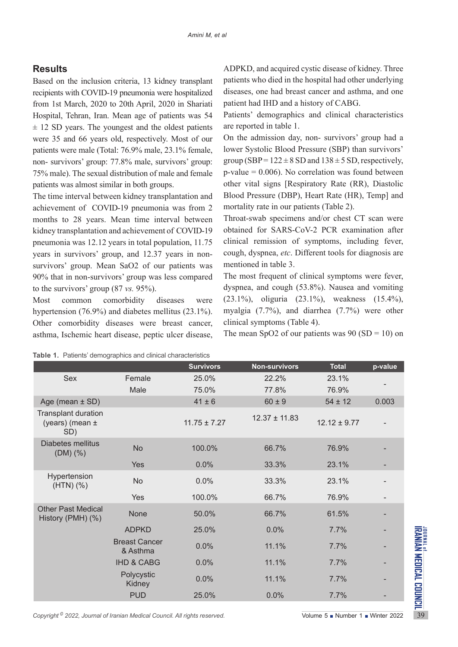# **Results**

Based on the inclusion criteria, 13 kidney transplant recipients with COVID-19 pneumonia were hospitalized from 1st March, 2020 to 20th April, 2020 in Shariati Hospital, Tehran, Iran. Mean age of patients was 54  $\pm$  12 SD years. The youngest and the oldest patients were 35 and 66 years old, respectively. Most of our patients were male (Total: 76.9% male, 23.1% female, non- survivors' group: 77.8% male, survivors' group: 75% male). The sexual distribution of male and female patients was almost similar in both groups.

The time interval between kidney transplantation and achievement of COVID-19 pneumonia was from 2 months to 28 years. Mean time interval between kidney transplantation and achievement of COVID-19 pneumonia was 12.12 years in total population, 11.75 years in survivors' group, and 12.37 years in nonsurvivors' group. Mean SaO2 of our patients was 90% that in non-survivors' group was less compared to the survivors' group (87 *vs.* 95%).

Most common comorbidity diseases were hypertension (76.9%) and diabetes mellitus (23.1%). Other comorbidity diseases were breast cancer, asthma, Ischemic heart disease, peptic ulcer disease,

ADPKD, and acquired cystic disease of kidney. Three patients who died in the hospital had other underlying diseases, one had breast cancer and asthma, and one patient had IHD and a history of CABG.

Patients' demographics and clinical characteristics are reported in table 1.

On the admission day, non- survivors' group had a lower Systolic Blood Pressure (SBP) than survivors' group (SBP =  $122 \pm 8$  SD and  $138 \pm 5$  SD, respectively,  $p$ -value = 0.006). No correlation was found between other vital signs [Respiratory Rate (RR), Diastolic Blood Pressure (DBP), Heart Rate (HR), Temp] and mortality rate in our patients (Table 2).

Throat-swab specimens and/or chest CT scan were obtained for SARS-CoV-2 PCR examination after clinical remission of symptoms, including fever, cough, dyspnea, *etc*. Different tools for diagnosis are mentioned in table 3.

The most frequent of clinical symptoms were fever, dyspnea, and cough (53.8%). Nausea and vomiting (23.1%), oliguria (23.1%), weakness (15.4%), myalgia (7.7%), and diarrhea (7.7%) were other clinical symptoms (Table 4).

The mean SpO2 of our patients was  $90 (SD = 10)$  on

|                                                      |                                  | <b>Survivors</b> | <b>Non-survivors</b> | <b>Total</b>     | p-value |
|------------------------------------------------------|----------------------------------|------------------|----------------------|------------------|---------|
| Sex                                                  | Female                           | 25.0%            | 22.2%                | 23.1%            |         |
|                                                      | Male                             | 75.0%            | 77.8%                | 76.9%            |         |
| Age (mean $\pm$ SD)                                  |                                  | $41 \pm 6$       | $60 \pm 9$           | $54 \pm 12$      | 0.003   |
| <b>Transplant duration</b><br>(years) (mean ±<br>SD) |                                  | $11.75 \pm 7.27$ | $12.37 \pm 11.83$    | $12.12 \pm 9.77$ |         |
| <b>Diabetes mellitus</b><br>$(DM)$ $(\%)$            | <b>No</b>                        | 100.0%           | 66.7%                | 76.9%            |         |
|                                                      | Yes                              | 0.0%             | 33.3%                | 23.1%            |         |
| Hypertension<br>$(HTN)$ $(\%)$                       | No                               | 0.0%             | 33.3%                | 23.1%            |         |
|                                                      | Yes                              | 100.0%           | 66.7%                | 76.9%            |         |
| <b>Other Past Medical</b><br>History (PMH) (%)       | None                             | 50.0%            | 66.7%                | 61.5%            |         |
|                                                      | <b>ADPKD</b>                     | 25.0%            | 0.0%                 | 7.7%             |         |
|                                                      | <b>Breast Cancer</b><br>& Asthma | 0.0%             | 11.1%                | 7.7%             |         |
|                                                      | <b>IHD &amp; CABG</b>            | 0.0%             | 11.1%                | 7.7%             |         |
|                                                      | Polycystic<br>Kidney             | 0.0%             | 11.1%                | 7.7%             |         |
|                                                      |                                  | 25.0%            | 0.0%                 | 7.7%             |         |

**Table 1.** Patients' demographics and clinical characteristics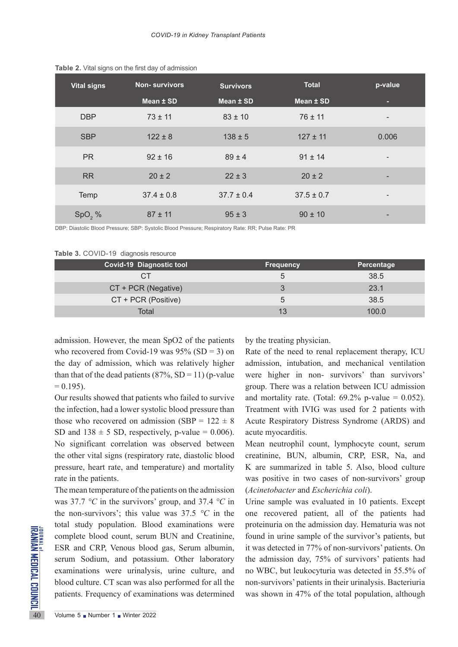| <b>Vital signs</b> | <b>Non-survivors</b> | <b>Survivors</b> | <b>Total</b>   | p-value                  |
|--------------------|----------------------|------------------|----------------|--------------------------|
|                    | Mean ± SD            | Mean ± SD        | Mean ± SD      |                          |
| <b>DBP</b>         | $73 \pm 11$          | $83 \pm 10$      | $76 \pm 11$    | $\overline{\phantom{a}}$ |
| <b>SBP</b>         | $122 \pm 8$          | $138 \pm 5$      | $127 \pm 11$   | 0.006                    |
| <b>PR</b>          | $92 \pm 16$          | $89 \pm 4$       | $91 \pm 14$    | $\overline{\phantom{0}}$ |
| <b>RR</b>          | $20 \pm 2$           | $22 \pm 3$       | $20 \pm 2$     | -                        |
| <b>Temp</b>        | $37.4 \pm 0.8$       | $37.7 \pm 0.4$   | $37.5 \pm 0.7$ | $\overline{\phantom{a}}$ |
| SpO, %             | $87 \pm 11$          | $95 \pm 3$       | $90 \pm 10$    |                          |

**Table 2.** Vital signs on the first day of admission

DBP: Diastolic Blood Pressure; SBP: Systolic Blood Pressure; Respiratory Rate: RR; Pulse Rate: PR

**Table 3.** COVID-19 diagnosis resource

| <b>Covid-19 Diagnostic tool</b> | <b>Frequency</b> | Percentage |
|---------------------------------|------------------|------------|
| СT                              | b                | 38.5       |
| CT + PCR (Negative)             | 3                | 23.1       |
| CT + PCR (Positive)             | 5                | 38.5       |
| Total                           | 13               | 100.0      |

admission. However, the mean SpO2 of the patients who recovered from Covid-19 was  $95\%$  (SD = 3) on the day of admission, which was relatively higher than that of the dead patients  $(87\% \text{, SD} = 11)$  (p-value)  $= 0.195$ .

Our results showed that patients who failed to survive the infection, had a lower systolic blood pressure than those who recovered on admission (SBP =  $122 \pm 8$ ) SD and  $138 \pm 5$  SD, respectively, p-value = 0.006). No significant correlation was observed between the other vital signs (respiratory rate, diastolic blood pressure, heart rate, and temperature) and mortality rate in the patients.

EXECUTE SUGARI STATES COULD EXECUTE SUGARI SURVEY COUNTINE SURVEY THAT SURVEY THAT SURVEY THAT SURVEY THAT SURVEY THAT SURVEY THAT SURVEY THAT SURVEY THAT SURVEY THAT SURVEY THAT SURVEY THAT WINTER 2022 The mean temperature of the patients on the admission was 37.7 *°C* in the survivors' group, and 37.4 *°C* in the non-survivors'; this value was  $37.5 \text{ °C}$  in the total study population. Blood examinations were complete blood count, serum BUN and Creatinine, ESR and CRP, Venous blood gas, Serum albumin, serum Sodium, and potassium. Other laboratory examinations were urinalysis, urine culture, and blood culture. CT scan was also performed for all the patients. Frequency of examinations was determined by the treating physician.

Rate of the need to renal replacement therapy, ICU admission, intubation, and mechanical ventilation were higher in non- survivors' than survivors' group. There was a relation between ICU admission and mortality rate. (Total:  $69.2\%$  p-value = 0.052). Treatment with IVIG was used for 2 patients with Acute Respiratory Distress Syndrome (ARDS) and acute myocarditis.

Mean neutrophil count, lymphocyte count, serum creatinine, BUN, albumin, CRP, ESR, Na, and K are summarized in table 5. Also, blood culture was positive in two cases of non-survivors' group (*Acinetobacter* and *Escherichia coli*).

Urine sample was evaluated in 10 patients. Except one recovered patient, all of the patients had proteinuria on the admission day. Hematuria was not found in urine sample of the survivor's patients, but it was detected in 77% of non-survivors' patients. On the admission day, 75% of survivors' patients had no WBC, but leukocyturia was detected in 55.5% of non-survivors' patients in their urinalysis. Bacteriuria was shown in 47% of the total population, although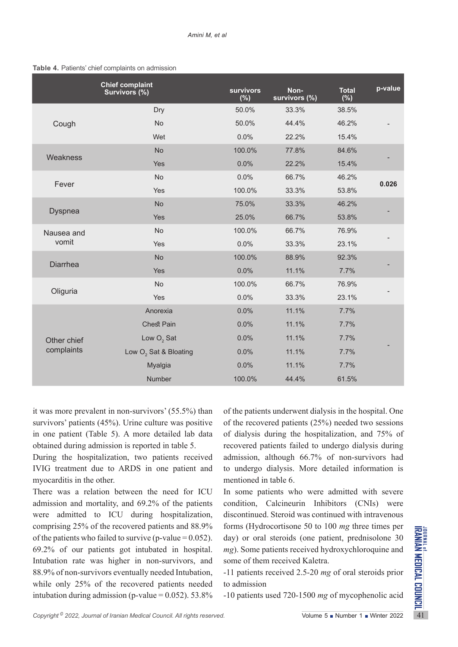#### **Table 4.** Patients' chief complaints on admission

|                           | <b>Chief complaint</b><br>Survivors (%) | <b>survivors</b><br>$(\%)$ | Non-<br>survivors (%) | <b>Total</b><br>$(\%)$ | p-value |
|---------------------------|-----------------------------------------|----------------------------|-----------------------|------------------------|---------|
|                           | Dry                                     | 50.0%                      | 33.3%                 | 38.5%                  |         |
| Cough                     | No                                      | 50.0%                      | 44.4%                 | 46.2%                  |         |
|                           | Wet                                     | 0.0%                       | 22.2%                 | 15.4%                  |         |
| Weakness                  | <b>No</b>                               | 100.0%                     | 77.8%                 | 84.6%                  |         |
|                           | Yes                                     | 0.0%                       | 22.2%                 | 15.4%                  |         |
| Fever                     | <b>No</b>                               | 0.0%                       | 66.7%                 | 46.2%                  | 0.026   |
|                           | Yes                                     | 100.0%                     | 33.3%                 | 53.8%                  |         |
| <b>Dyspnea</b>            | <b>No</b>                               | 75.0%                      | 33.3%                 | 46.2%                  |         |
|                           | Yes                                     | 25.0%                      | 66.7%                 | 53.8%                  |         |
| Nausea and                | <b>No</b>                               | 100.0%                     | 66.7%                 | 76.9%                  |         |
| vomit                     | Yes                                     | 0.0%                       | 33.3%                 | 23.1%                  |         |
| <b>Diarrhea</b>           | <b>No</b>                               | 100.0%                     | 88.9%                 | 92.3%                  |         |
|                           | Yes                                     | 0.0%                       | 11.1%                 | 7.7%                   |         |
|                           | No                                      | 100.0%                     | 66.7%                 | 76.9%                  |         |
| Oliguria                  | Yes                                     | 0.0%                       | 33.3%                 | 23.1%                  |         |
|                           | Anorexia                                | 0.0%                       | 11.1%                 | 7.7%                   |         |
| Other chief<br>complaints | <b>Chest Pain</b>                       | 0.0%                       | 11.1%                 | 7.7%                   |         |
|                           | Low $O2$ Sat                            | 0.0%                       | 11.1%                 | 7.7%                   |         |
|                           | Low O <sub>2</sub> Sat & Bloating       | 0.0%                       | 11.1%                 | 7.7%                   |         |
|                           | Myalgia                                 | 0.0%                       | 11.1%                 | 7.7%                   |         |
|                           | Number                                  | 100.0%                     | 44.4%                 | 61.5%                  |         |

it was more prevalent in non-survivors' (55.5%) than survivors' patients (45%). Urine culture was positive in one patient (Table 5). A more detailed lab data obtained during admission is reported in table 5.

During the hospitalization, two patients received IVIG treatment due to ARDS in one patient and myocarditis in the other.

Comprising 25% of the recovered patients and 88.9% forms (Hydrocorusone 50 to 100 *mg* tirre times per of the patients who failed to survive (p-value = 0.052). day) or oral steroids (one patient, prednisolone 30 69.2% of There was a relation between the need for ICU admission and mortality, and 69.2% of the patients were admitted to ICU during hospitalization, comprising 25% of the recovered patients and 88.9% of the patients who failed to survive (p-value =  $0.052$ ). 69.2% of our patients got intubated in hospital. Intubation rate was higher in non-survivors, and 88.9% of non-survivors eventually needed Intubation, while only 25% of the recovered patients needed intubation during admission (p-value  $= 0.052$ ). 53.8%

of the patients underwent dialysis in the hospital. One of the recovered patients (25%) needed two sessions of dialysis during the hospitalization, and 75% of recovered patients failed to undergo dialysis during admission, although 66.7% of non-survivors had to undergo dialysis. More detailed information is mentioned in table 6.

In some patients who were admitted with severe condition, Calcineurin Inhibitors (CNIs) were discontinued. Steroid was continued with intravenous forms (Hydrocortisone 50 to 100 *mg* three times per day) or oral steroids (one patient, prednisolone 30 *mg*). Some patients received hydroxychloroquine and some of them received Kaletra.

-11 patients received 2.5-20 *mg* of oral steroids prior to admission

-10 patients used 720-1500 *mg* of mycophenolic acid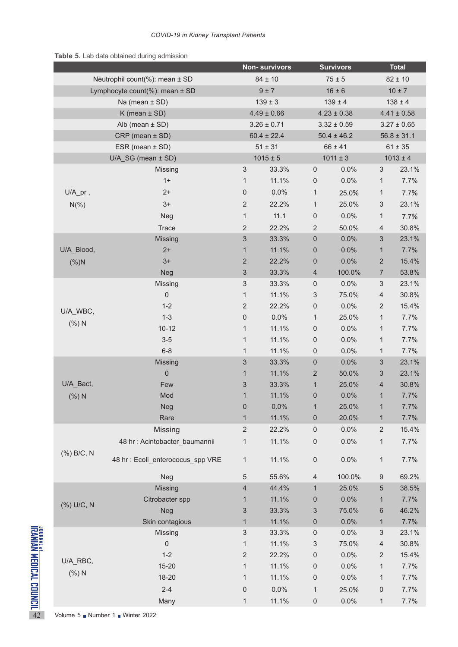### **Table 5.** Lab data obtained during admission

|                                                                 |                                                                 |                                       |                           |                 | <b>Survivors</b>    |                 | <b>Total</b>              |                 |  |
|-----------------------------------------------------------------|-----------------------------------------------------------------|---------------------------------------|---------------------------|-----------------|---------------------|-----------------|---------------------------|-----------------|--|
|                                                                 | Neutrophil count(%): mean ± SD                                  |                                       |                           | $84 \pm 10$     |                     | $75 \pm 5$      |                           | $82 \pm 10$     |  |
|                                                                 | Lymphocyte count(%): mean ± SD                                  |                                       |                           | 9±7             |                     | $16 \pm 6$      |                           | $10 \pm 7$      |  |
|                                                                 |                                                                 | Na (mean ± SD)                        |                           | $139 \pm 3$     | $139 \pm 4$         |                 |                           | $138 \pm 4$     |  |
|                                                                 |                                                                 | $K$ (mean $\pm$ SD)                   |                           |                 | $4.23 \pm 0.38$     |                 |                           | $4.41 \pm 0.58$ |  |
|                                                                 | Alb (mean $\pm$ SD)<br>$CRP$ (mean $\pm$ SD)<br>ESR (mean ± SD) |                                       |                           | $3.26 \pm 0.71$ |                     | $3.32 \pm 0.59$ |                           | $3.27 \pm 0.65$ |  |
|                                                                 |                                                                 |                                       |                           | $60.4 \pm 22.4$ |                     | $50.4 \pm 46.2$ |                           | $56.8 \pm 31.1$ |  |
|                                                                 |                                                                 |                                       |                           | $51 \pm 31$     | $66 \pm 41$         |                 |                           | $61 \pm 35$     |  |
|                                                                 |                                                                 | $U/A$ <sub>_</sub> SG (mean $\pm$ SD) |                           | $1015 \pm 5$    |                     | $1011 \pm 3$    |                           | $1013 \pm 4$    |  |
|                                                                 |                                                                 | Missing                               | $\sqrt{3}$                | 33.3%           | $\mathsf{0}$        | 0.0%            | 3                         | 23.1%           |  |
|                                                                 |                                                                 | $1+$                                  | $\mathbf{1}$              | 11.1%           | $\mathsf{0}$        | 0.0%            | 1                         | 7.7%            |  |
|                                                                 | $U/A pr$ ,                                                      | $2+$                                  | $\mathbf 0$               | 0.0%            | $\mathbf{1}$        | 25.0%           | $\mathbf{1}$              | 7.7%            |  |
|                                                                 | $N(\% )$                                                        | $3+$                                  | $\sqrt{2}$                | 22.2%           | $\mathbf{1}$        | 25.0%           | 3                         | 23.1%           |  |
|                                                                 |                                                                 | Neg                                   | $\mathbf{1}$              | 11.1            | 0                   | 0.0%            | 1                         | 7.7%            |  |
|                                                                 |                                                                 | <b>Trace</b>                          | $\overline{2}$            | 22.2%           | $\overline{2}$      | 50.0%           | 4                         | 30.8%           |  |
|                                                                 |                                                                 | Missing                               | 3                         | 33.3%           | $\pmb{0}$           | 0.0%            | 3                         | 23.1%           |  |
|                                                                 | U/A_Blood,                                                      | $2+$                                  | 1                         | 11.1%           | $\boldsymbol{0}$    | 0.0%            | $\mathbf{1}$              | 7.7%            |  |
|                                                                 | (%)N                                                            | $3+$                                  | $\overline{2}$            | 22.2%           | 0                   | 0.0%            | $\overline{c}$            | 15.4%           |  |
|                                                                 |                                                                 | Neg                                   | $\ensuremath{\mathsf{3}}$ | 33.3%           | $\overline{4}$      | 100.0%          | 7                         | 53.8%           |  |
|                                                                 |                                                                 | Missing                               | $\sqrt{3}$                | 33.3%           | $\mathsf{O}\xspace$ | 0.0%            | $\sqrt{3}$                | 23.1%           |  |
|                                                                 |                                                                 | 0                                     | $\mathbf{1}$              | 11.1%           | 3                   | 75.0%           | 4                         | 30.8%           |  |
|                                                                 | U/A_WBC,                                                        | $1 - 2$                               | $\overline{2}$            | 22.2%           | 0                   | 0.0%            | 2                         | 15.4%           |  |
|                                                                 |                                                                 | $1 - 3$                               | $\mathsf 0$               | 0.0%            | $\mathbf{1}$        | 25.0%           | 1                         | 7.7%            |  |
|                                                                 | (%)N                                                            | $10 - 12$                             | $\mathbf{1}$              | 11.1%           | 0                   | 0.0%            | 1                         | 7.7%            |  |
|                                                                 |                                                                 | $3-5$                                 | $\mathbf 1$               | 11.1%           | 0                   | 0.0%            | 1                         | 7.7%            |  |
|                                                                 |                                                                 | $6 - 8$                               | $\mathbf 1$               | 11.1%           | $\mathsf{0}$        | 0.0%            | $\mathbf{1}$              | 7.7%            |  |
|                                                                 |                                                                 | Missing                               | 3                         | 33.3%           | $\boldsymbol{0}$    | 0.0%            | $\ensuremath{\mathsf{3}}$ | 23.1%           |  |
|                                                                 |                                                                 | $\mathsf{O}\xspace$                   | $\mathbf{1}$              | 11.1%           | 2                   | 50.0%           | 3                         | 23.1%           |  |
|                                                                 | U/A_Bact,                                                       | Few                                   | 3                         | 33.3%           | $\mathbf{1}$        | 25.0%           | 4                         | 30.8%           |  |
|                                                                 |                                                                 | (%)N<br>Mod                           |                           | 11.1%           | 0                   | 0.0%            | $\mathbf{1}$              | 7.7%            |  |
|                                                                 |                                                                 | Neg                                   | $\boldsymbol{0}$          | 0.0%            | 1                   | 25.0%           | 1                         | 7.7%            |  |
|                                                                 |                                                                 | Rare                                  | $\mathbf{1}$              | 11.1%           | $\boldsymbol{0}$    | 20.0%           | 1                         | 7.7%            |  |
|                                                                 |                                                                 | Missing                               | $\overline{2}$            | 22.2%           | $\mathsf{0}$        | 0.0%            | $\overline{\mathbf{c}}$   | 15.4%           |  |
|                                                                 |                                                                 | 48 hr : Acintobacter_baumannii        | $\mathbf 1$               | 11.1%           | $\pmb{0}$           | 0.0%            | 1                         | 7.7%            |  |
|                                                                 | (%) B/C, N                                                      | 48 hr : Ecoli_enterococus_spp VRE     | $\mathbf{1}$              | 11.1%           | 0                   | 0.0%            | 1                         | 7.7%            |  |
|                                                                 |                                                                 |                                       |                           |                 |                     |                 |                           |                 |  |
|                                                                 |                                                                 | Neg                                   | 5                         | 55.6%           | 4                   | 100.0%          | 9                         | 69.2%           |  |
|                                                                 |                                                                 | Missing                               | $\overline{4}$            | 44.4%           | $\mathbf{1}$        | 25.0%           | 5                         | 38.5%           |  |
|                                                                 | (%) U/C, N                                                      | Citrobacter spp                       | 1                         | 11.1%           | 0                   | 0.0%            | 1                         | 7.7%            |  |
|                                                                 |                                                                 | Neg                                   | 3                         | 33.3%           | 3                   | 75.0%           | 6                         | 46.2%           |  |
|                                                                 |                                                                 | Skin contagious                       | 1                         | 11.1%           | 0                   | 0.0%            | $\mathbf{1}$              | 7.7%            |  |
|                                                                 |                                                                 | Missing                               | 3                         | 33.3%           | 0                   | 0.0%            | 3                         | 23.1%           |  |
|                                                                 |                                                                 | 0                                     | $\mathbf{1}$              | 11.1%           | 3                   | 75.0%           | 4                         | 30.8%           |  |
|                                                                 | U/A_RBC,                                                        | $1 - 2$                               | $\overline{2}$            | 22.2%           | $\mathbf 0$         | 0.0%            | 2                         | 15.4%           |  |
|                                                                 | (%)N                                                            | $15 - 20$                             | $\mathbf{1}$              | 11.1%           | $\mathbf 0$         | 0.0%            | $\mathbf{1}$              | 7.7%            |  |
|                                                                 |                                                                 | 18-20                                 | 1                         | 11.1%           | 0                   | 0.0%            | 1                         | 7.7%            |  |
|                                                                 |                                                                 | $2 - 4$                               | $\mathbf 0$               | 0.0%            | $\mathbf{1}$        | 25.0%           | 0                         | 7.7%            |  |
| JONNAL <sup>of</sup> Medical Council<br>Iranian Medical Council |                                                                 | Many                                  | $\mathbf{1}$              | 11.1%           | $\mathsf{0}$        | 0.0%            | $\mathbf{1}$              | 7.7%            |  |
| 42                                                              | Volume 5 Number 1 Winter 2022                                   |                                       |                           |                 |                     |                 |                           |                 |  |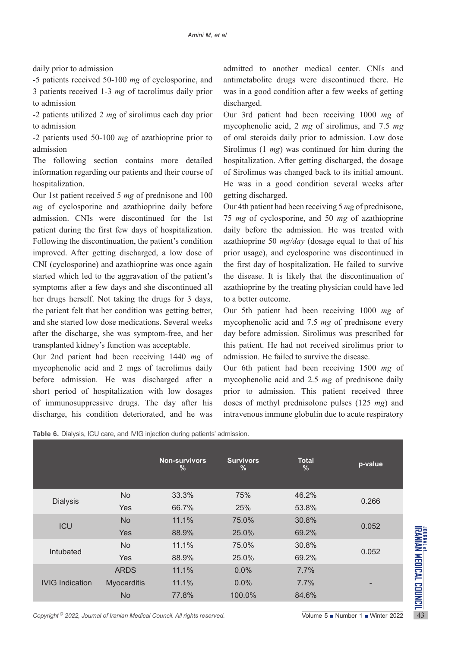daily prior to admission

-5 patients received 50-100 *mg* of cyclosporine, and 3 patients received 1-3 *mg* of tacrolimus daily prior to admission

-2 patients utilized 2 *mg* of sirolimus each day prior to admission

-2 patients used 50-100 *mg* of azathioprine prior to admission

The following section contains more detailed information regarding our patients and their course of hospitalization.

Our 1st patient received 5 *mg* of prednisone and 100 *mg* of cyclosporine and azathioprine daily before admission. CNIs were discontinued for the 1st patient during the first few days of hospitalization. Following the discontinuation, the patient's condition improved. After getting discharged, a low dose of CNI (cyclosporine) and azathioprine was once again started which led to the aggravation of the patient's symptoms after a few days and she discontinued all her drugs herself. Not taking the drugs for 3 days, the patient felt that her condition was getting better, and she started low dose medications. Several weeks after the discharge, she was symptom-free, and her transplanted kidney's function was acceptable.

Our 2nd patient had been receiving 1440 *mg* of mycophenolic acid and 2 mgs of tacrolimus daily before admission. He was discharged after a short period of hospitalization with low dosages of immunosuppressive drugs. The day after his discharge, his condition deteriorated, and he was

admitted to another medical center. CNIs and antimetabolite drugs were discontinued there. He was in a good condition after a few weeks of getting discharged.

Our 3rd patient had been receiving 1000 *mg* of mycophenolic acid, 2 *mg* of sirolimus, and 7.5 *mg*  of oral steroids daily prior to admission. Low dose Sirolimus (1 *mg*) was continued for him during the hospitalization. After getting discharged, the dosage of Sirolimus was changed back to its initial amount. He was in a good condition several weeks after getting discharged.

Our 4th patient had been receiving 5 *mg* of prednisone, 75 *mg* of cyclosporine, and 50 *mg* of azathioprine daily before the admission. He was treated with azathioprine 50 *mg/day* (dosage equal to that of his prior usage), and cyclosporine was discontinued in the first day of hospitalization. He failed to survive the disease. It is likely that the discontinuation of azathioprine by the treating physician could have led to a better outcome.

Our 5th patient had been receiving 1000 *mg* of mycophenolic acid and 7.5 *mg* of prednisone every day before admission. Sirolimus was prescribed for this patient. He had not received sirolimus prior to admission. He failed to survive the disease.

Our 6th patient had been receiving 1500 *mg* of mycophenolic acid and 2.5 *mg* of prednisone daily prior to admission. This patient received three doses of methyl prednisolone pulses (125 *mg*) and intravenous immune globulin due to acute respiratory

|                                                                                       |             | <b>Non-survivors</b><br>$\frac{9}{6}$ | <b>Survivors</b><br>℅ | <b>Total</b><br>$\%$ | p-value                                                     |
|---------------------------------------------------------------------------------------|-------------|---------------------------------------|-----------------------|----------------------|-------------------------------------------------------------|
|                                                                                       | <b>No</b>   | 33.3%                                 | 75%                   | 46.2%                |                                                             |
| <b>Dialysis</b>                                                                       | <b>Yes</b>  | 66.7%                                 | 25%                   | 53.8%                | 0.266                                                       |
| <b>ICU</b>                                                                            | <b>No</b>   | 11.1%                                 | 75.0%                 | 30.8%                |                                                             |
|                                                                                       | <b>Yes</b>  | 88.9%                                 | 25.0%                 | 69.2%                | 0.052                                                       |
|                                                                                       | <b>No</b>   | 11.1%                                 | 75.0%                 | 30.8%                |                                                             |
| Intubated                                                                             | <b>Yes</b>  | 88.9%                                 | 25.0%                 | 69.2%                | 0.052                                                       |
| <b>IVIG Indication</b>                                                                | <b>ARDS</b> | 11.1%                                 | 0.0%                  | 7.7%                 |                                                             |
|                                                                                       | Myocarditis | 11.1%                                 | 0.0%                  | 7.7%                 |                                                             |
|                                                                                       | <b>No</b>   | 77.8%                                 | 100.0%                | 84.6%                |                                                             |
| Copyright <sup>©</sup> 2022, Journal of Iranian Medical Council. All rights reserved. |             |                                       |                       |                      | Volume $5 \blacksquare$ Number $1 \blacksquare$ Winter 2022 |

|  |  |  | Table 6. Dialysis, ICU care, and IVIG injection during patients' admission. |
|--|--|--|-----------------------------------------------------------------------------|
|  |  |  |                                                                             |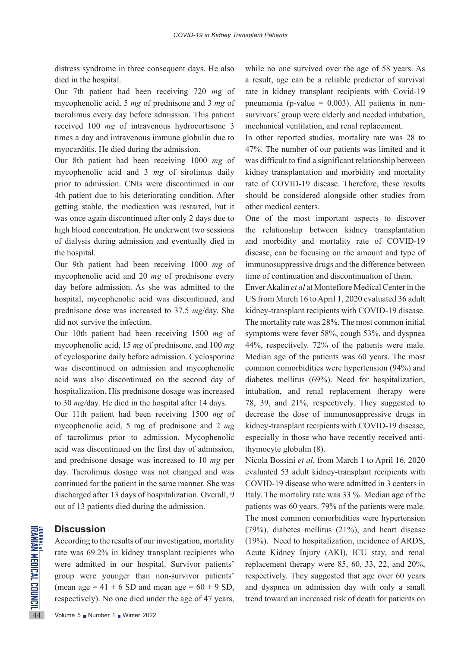distress syndrome in three consequent days. He also died in the hospital.

Our 7th patient had been receiving 720 *m*g of mycophenolic acid, 5 *mg* of prednisone and 3 *mg* of tacrolimus every day before admission. This patient received 100 *mg* of intravenous hydrocortisone 3 times a day and intravenous immune globulin due to myocarditis. He died during the admission.

Our 8th patient had been receiving 1000 *mg* of mycophenolic acid and 3 *mg* of sirolimus daily prior to admission. CNIs were discontinued in our 4th patient due to his deteriorating condition. After getting stable, the medication was restarted, but it was once again discontinued after only 2 days due to high blood concentration. He underwent two sessions of dialysis during admission and eventually died in the hospital.

Our 9th patient had been receiving 1000 *mg* of mycophenolic acid and 20 *mg* of prednisone every day before admission. As she was admitted to the hospital, mycophenolic acid was discontinued, and prednisone dose was increased to 37.5 *mg*/day. She did not survive the infection.

Our 10th patient had been receiving 1500 *mg* of mycophenolic acid, 15 *mg* of prednisone, and 100 *mg* of cyclosporine daily before admission. Cyclosporine was discontinued on admission and mycophenolic acid was also discontinued on the second day of hospitalization. His prednisone dosage was increased to 30 *mg/*day. He died in the hospital after 14 days.

Our 11th patient had been receiving 1500 *mg* of mycophenolic acid, 5 mg of prednisone and 2 *mg*  of tacrolimus prior to admission. Mycophenolic acid was discontinued on the first day of admission, and prednisone dosage was increased to 10 *mg* per day. Tacrolimus dosage was not changed and was continued for the patient in the same manner. She was discharged after 13 days of hospitalization. Overall, 9 out of 13 patients died during the admission.

### **Discussion**

**EXAMPLE 1**<br> **EXAMPLE 2018**<br>
According to the results of our<br>
rate was 69.2% in kidney tra<br>
were admitted in our hospit<br>
group were younger than<br>
(mean age = 41  $\pm$  6 SD and n<br>
respectively). No one died uno<br>
Volume 5 • According to the results of our investigation, mortality rate was 69.2% in kidney transplant recipients who were admitted in our hospital. Survivor patients' group were younger than non-survivor patients' (mean age =  $41 \pm 6$  SD and mean age =  $60 \pm 9$  SD, respectively). No one died under the age of 47 years, while no one survived over the age of 58 years. As a result, age can be a reliable predictor of survival rate in kidney transplant recipients with Covid-19 pneumonia (p-value  $= 0.003$ ). All patients in nonsurvivors' group were elderly and needed intubation, mechanical ventilation, and renal replacement.

In other reported studies, mortality rate was 28 to 47%. The number of our patients was limited and it was difficult to find a significant relationship between kidney transplantation and morbidity and mortality rate of COVID-19 disease. Therefore, these results should be considered alongside other studies from other medical centers.

One of the most important aspects to discover the relationship between kidney transplantation and morbidity and mortality rate of COVID-19 disease, can be focusing on the amount and type of immunosuppressive drugs and the difference between time of continuation and discontinuation of them.

Enver Akalin *et al* at Montefiore Medical Center in the US from March 16 to April 1, 2020 evaluated 36 adult kidney-transplant recipients with COVID-19 disease. The mortality rate was 28%. The most common initial symptoms were fever 58%, cough 53%, and dyspnea 44%, respectively. 72% of the patients were male. Median age of the patients was 60 years. The most common comorbidities were hypertension (94%) and diabetes mellitus (69%). Need for hospitalization, intubation, and renal replacement therapy were 78, 39, and 21%, respectively. They suggested to decrease the dose of immunosuppressive drugs in kidney-transplant recipients with COVID-19 disease, especially in those who have recently received antithymocyte globulin (8).

Nicola Bossini *et al*, from March 1 to April 16, 2020 evaluated 53 adult kidney-transplant recipients with COVID-19 disease who were admitted in 3 centers in Italy. The mortality rate was 33 %. Median age of the patients was 60 years. 79% of the patients were male. The most common comorbidities were hypertension (79%), diabetes mellitus (21%), and heart disease (19%). Need to hospitalization, incidence of ARDS, Acute Kidney Injury (AKI), ICU stay, and renal replacement therapy were 85, 60, 33, 22, and 20%, respectively. They suggested that age over 60 years and dyspnea on admission day with only a small trend toward an increased risk of death for patients on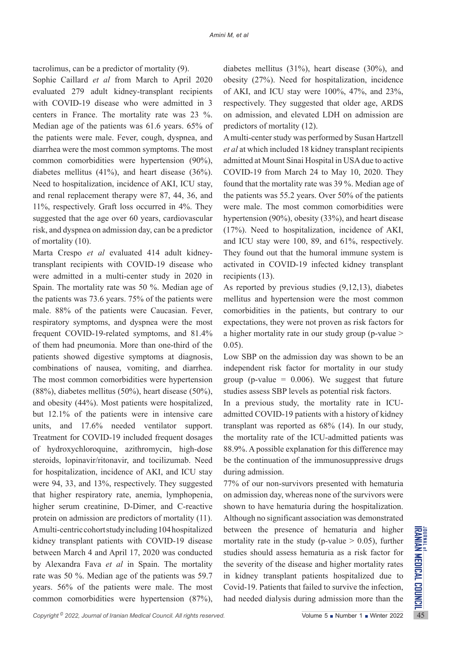tacrolimus, can be a predictor of mortality (9).

Sophie Caillard *et al* from March to April 2020 evaluated 279 adult kidney-transplant recipients with COVID-19 disease who were admitted in 3 centers in France. The mortality rate was 23 %. Median age of the patients was 61.6 years. 65% of the patients were male. Fever, cough, dyspnea, and diarrhea were the most common symptoms. The most common comorbidities were hypertension (90%), diabetes mellitus (41%), and heart disease (36%). Need to hospitalization, incidence of AKI, ICU stay, and renal replacement therapy were 87, 44, 36, and 11%, respectively. Graft loss occurred in 4%. They suggested that the age over 60 years, cardiovascular risk, and dyspnea on admission day, can be a predictor of mortality (10).

Marta Crespo *et al* evaluated 414 adult kidneytransplant recipients with COVID-19 disease who were admitted in a multi-center study in 2020 in Spain. The mortality rate was 50 %. Median age of the patients was 73.6 years. 75% of the patients were male. 88% of the patients were Caucasian. Fever, respiratory symptoms, and dyspnea were the most frequent COVID-19-related symptoms, and 81.4% of them had pneumonia. More than one-third of the patients showed digestive symptoms at diagnosis, combinations of nausea, vomiting, and diarrhea. The most common comorbidities were hypertension (88%), diabetes mellitus (50%), heart disease (50%), and obesity (44%). Most patients were hospitalized, but 12.1% of the patients were in intensive care units, and 17.6% needed ventilator support. Treatment for COVID-19 included frequent dosages of hydroxychloroquine, azithromycin, high-dose steroids, lopinavir/ritonavir, and tocilizumab. Need for hospitalization, incidence of AKI, and ICU stay were 94, 33, and 13%, respectively. They suggested that higher respiratory rate, anemia, lymphopenia, higher serum creatinine, D-Dimer, and C-reactive protein on admission are predictors of mortality (11). A multi-centric cohort study including 104 hospitalized kidney transplant patients with COVID-19 disease between March 4 and April 17, 2020 was conducted by Alexandra Fava *et al* in Spain. The mortality rate was 50 %. Median age of the patients was 59.7 years. 56% of the patients were male. The most common comorbidities were hypertension (87%),

diabetes mellitus (31%), heart disease (30%), and obesity (27%). Need for hospitalization, incidence of AKI, and ICU stay were 100%, 47%, and 23%, respectively. They suggested that older age, ARDS on admission, and elevated LDH on admission are predictors of mortality (12).

A multi-center study was performed by Susan Hartzell *et al* at which included 18 kidney transplant recipients admitted at Mount Sinai Hospital in USA due to active COVID-19 from March 24 to May 10, 2020. They found that the mortality rate was 39 %. Median age of the patients was 55.2 years. Over 50% of the patients were male. The most common comorbidities were hypertension (90%), obesity (33%), and heart disease (17%). Need to hospitalization, incidence of AKI, and ICU stay were 100, 89, and 61%, respectively. They found out that the humoral immune system is activated in COVID-19 infected kidney transplant recipients (13).

As reported by previous studies (9,12,13), diabetes mellitus and hypertension were the most common comorbidities in the patients, but contrary to our expectations, they were not proven as risk factors for a higher mortality rate in our study group (p-value > 0.05).

Low SBP on the admission day was shown to be an independent risk factor for mortality in our study group (p-value  $= 0.006$ ). We suggest that future studies assess SBP levels as potential risk factors.

In a previous study, the mortality rate in ICUadmitted COVID-19 patients with a history of kidney transplant was reported as 68% (14). In our study, the mortality rate of the ICU-admitted patients was 88.9%. A possible explanation for this difference may be the continuation of the immunosuppressive drugs during admission.

Amulti-centric cohortstudy including 104 hospitalized between the presence of hematuria and higher kidney transplant patients with COVID-19 disease mortality rate in the study (p-value > 0.05), further between March 4 and 77% of our non-survivors presented with hematuria on admission day, whereas none of the survivors were shown to have hematuria during the hospitalization. Although no significant association was demonstrated between the presence of hematuria and higher mortality rate in the study (p-value  $> 0.05$ ), further studies should assess hematuria as a risk factor for the severity of the disease and higher mortality rates in kidney transplant patients hospitalized due to Covid-19. Patients that failed to survive the infection, had needed dialysis during admission more than the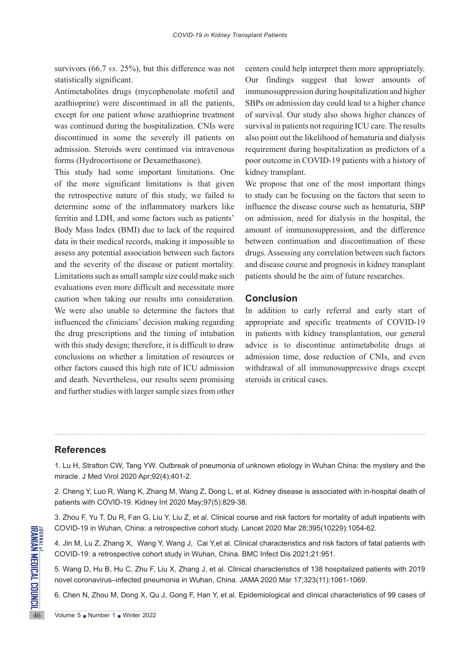survivors (66.7 *vs*. 25%), but this difference was not statistically significant.

Antimetabolites drugs (mycophenolate mofetil and azathioprine) were discontinued in all the patients, except for one patient whose azathioprine treatment was continued during the hospitalization. CNIs were discontinued in some the severely ill patients on admission. Steroids were continued via intravenous forms (Hydrocortisone or Dexamethasone).

This study had some important limitations. One of the more significant limitations is that given the retrospective nature of this study, we failed to determine some of the inflammatory markers like ferritin and LDH, and some factors such as patients' Body Mass Index (BMI) due to lack of the required data in their medical records, making it impossible to assess any potential association between such factors and the severity of the disease or patient mortality. Limitations such as small sample size could make such evaluations even more difficult and necessitate more caution when taking our results into consideration. We were also unable to determine the factors that influenced the clinicians' decision making regarding the drug prescriptions and the timing of intubation with this study design; therefore, it is difficult to draw conclusions on whether a limitation of resources or other factors caused this high rate of ICU admission and death. Nevertheless, our results seem promising and further studies with larger sample sizes from other centers could help interpret them more appropriately. Our findings suggest that lower amounts of immunosuppression during hospitalization and higher SBPs on admission day could lead to a higher chance of survival. Our study also shows higher chances of survival in patients not requiring ICU care. The results also point out the likelihood of hematuria and dialysis requirement during hospitalization as predictors of a poor outcome in COVID-19 patients with a history of kidney transplant.

We propose that one of the most important things to study can be focusing on the factors that seem to influence the disease course such as hematuria, SBP on admission, need for dialysis in the hospital, the amount of immunosuppression, and the difference between continuation and discontinuation of these drugs. Assessing any correlation between such factors and disease course and prognosis in kidney transplant patients should be the aim of future researches.

### **Conclusion**

In addition to early referral and early start of appropriate and specific treatments of COVID-19 in patients with kidney transplantation, our general advice is to discontinue antimetabolite drugs at admission time, dose reduction of CNIs, and even withdrawal of all immunosuppressive drugs except steroids in critical cases.

# **References**

1. Lu H, Stratton CW, Tang YW. Outbreak of pneumonia of unknown etiology in Wuhan China: the mystery and the miracle. J Med Virol 2020 Apr;92(4):401-2.

2. Cheng Y, Luo R, Wang K, Zhang M, Wang Z, Dong L, et al. Kidney disease is associated with in-hospital death of patients with COVID-19. Kidney Int 2020 May;97(5):829-38.

3. Zhou F, Yu T, Du R, Fan G, Liu Y, Liu Z, et al. Clinical course and risk factors for mortality of adult inpatients with COVID-19 in Wuhan, China: a retrospective cohort study. Lancet 2020 Mar 28;395(10229):1054-62.

EXECTIVE 19 in Wuhan, China: a r<br>
4. Jin M, Lu Z, Zhang X, Wang<br>
COVID-19: a retrospective coho<br>
5. Wang D, Hu B, Hu C, Zhu F,<br>
novel coronavirus-infected pner<br>
6. Chen N, Zhou M, Dong X, Qu<br>
Volume 5 Number 1 Ninter 2022 4. Jin M, Lu Z, Zhang X, Wang Y, Wang J, Cai Y,et al. Clinical characteristics and risk factors of fatal patients with COVID-19: a retrospective cohort study in Wuhan, China. BMC Infect Dis 2021;21:951.

5. Wang D, Hu B, Hu C, Zhu F, Liu X, Zhang J, et al. Clinical characteristics of 138 hospitalized patients with 2019 novel coronavirus–infected pneumonia in Wuhan, China. JAMA 2020 Mar 17;323(11):1061-1069.

6. Chen N, Zhou M, Dong X, Qu J, Gong F, Han Y, et al. Epidemiological and clinical characteristics of 99 cases of